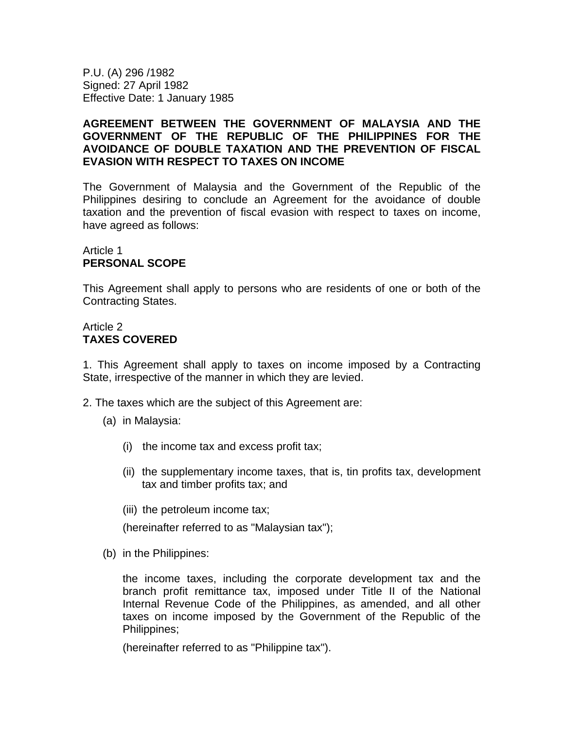P.U. (A) 296 /1982 Signed: 27 April 1982 Effective Date: 1 January 1985

#### **AGREEMENT BETWEEN THE GOVERNMENT OF MALAYSIA AND THE GOVERNMENT OF THE REPUBLIC OF THE PHILIPPINES FOR THE AVOIDANCE OF DOUBLE TAXATION AND THE PREVENTION OF FISCAL EVASION WITH RESPECT TO TAXES ON INCOME**

The Government of Malaysia and the Government of the Republic of the Philippines desiring to conclude an Agreement for the avoidance of double taxation and the prevention of fiscal evasion with respect to taxes on income, have agreed as follows:

#### Article 1 **PERSONAL SCOPE**

This Agreement shall apply to persons who are residents of one or both of the Contracting States.

### Article 2 **TAXES COVERED**

1. This Agreement shall apply to taxes on income imposed by a Contracting State, irrespective of the manner in which they are levied.

- 2. The taxes which are the subject of this Agreement are:
	- (a) in Malaysia:
		- (i) the income tax and excess profit tax;
		- (ii) the supplementary income taxes, that is, tin profits tax, development tax and timber profits tax; and
		- (iii) the petroleum income tax;

(hereinafter referred to as "Malaysian tax");

(b) in the Philippines:

the income taxes, including the corporate development tax and the branch profit remittance tax, imposed under Title II of the National Internal Revenue Code of the Philippines, as amended, and all other taxes on income imposed by the Government of the Republic of the Philippines;

(hereinafter referred to as "Philippine tax").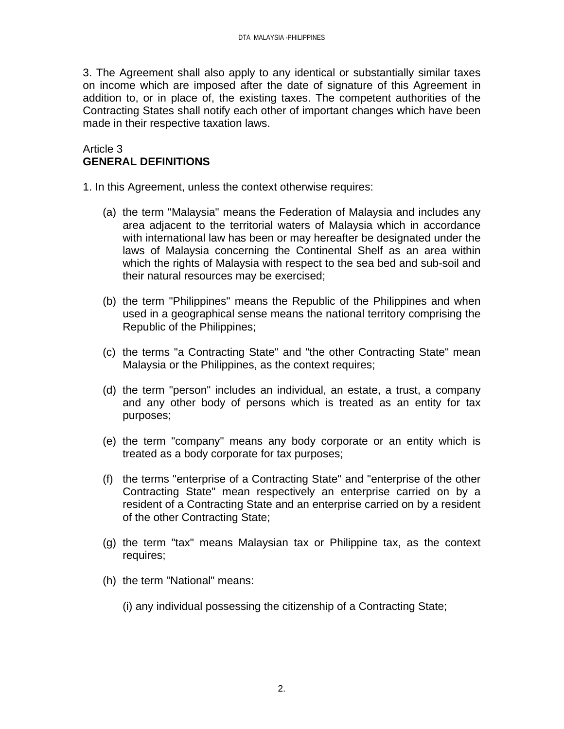3. The Agreement shall also apply to any identical or substantially similar taxes on income which are imposed after the date of signature of this Agreement in addition to, or in place of, the existing taxes. The competent authorities of the Contracting States shall notify each other of important changes which have been made in their respective taxation laws.

### Article 3 **GENERAL DEFINITIONS**

1. In this Agreement, unless the context otherwise requires:

- (a) the term "Malaysia" means the Federation of Malaysia and includes any area adjacent to the territorial waters of Malaysia which in accordance with international law has been or may hereafter be designated under the laws of Malaysia concerning the Continental Shelf as an area within which the rights of Malaysia with respect to the sea bed and sub-soil and their natural resources may be exercised;
- (b) the term "Philippines" means the Republic of the Philippines and when used in a geographical sense means the national territory comprising the Republic of the Philippines;
- (c) the terms "a Contracting State" and "the other Contracting State" mean Malaysia or the Philippines, as the context requires;
- (d) the term "person" includes an individual, an estate, a trust, a company and any other body of persons which is treated as an entity for tax purposes;
- (e) the term "company" means any body corporate or an entity which is treated as a body corporate for tax purposes;
- (f) the terms "enterprise of a Contracting State" and "enterprise of the other Contracting State" mean respectively an enterprise carried on by a resident of a Contracting State and an enterprise carried on by a resident of the other Contracting State;
- (g) the term "tax" means Malaysian tax or Philippine tax, as the context requires;
- (h) the term "National" means:
	- (i) any individual possessing the citizenship of a Contracting State;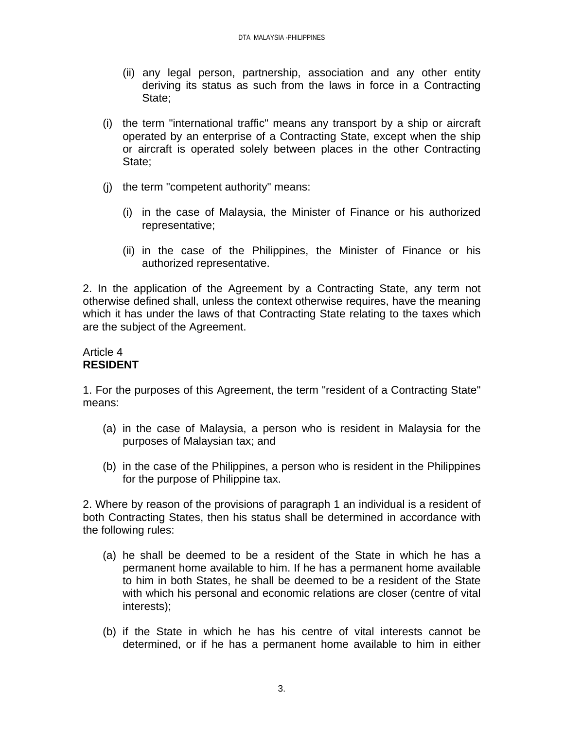- (ii) any legal person, partnership, association and any other entity deriving its status as such from the laws in force in a Contracting State;
- (i) the term "international traffic" means any transport by a ship or aircraft operated by an enterprise of a Contracting State, except when the ship or aircraft is operated solely between places in the other Contracting State;
- (j) the term "competent authority" means:
	- (i) in the case of Malaysia, the Minister of Finance or his authorized representative;
	- (ii) in the case of the Philippines, the Minister of Finance or his authorized representative.

2. In the application of the Agreement by a Contracting State, any term not otherwise defined shall, unless the context otherwise requires, have the meaning which it has under the laws of that Contracting State relating to the taxes which are the subject of the Agreement.

### Article 4 **RESIDENT**

1. For the purposes of this Agreement, the term "resident of a Contracting State" means:

- (a) in the case of Malaysia, a person who is resident in Malaysia for the purposes of Malaysian tax; and
- (b) in the case of the Philippines, a person who is resident in the Philippines for the purpose of Philippine tax.

2. Where by reason of the provisions of paragraph 1 an individual is a resident of both Contracting States, then his status shall be determined in accordance with the following rules:

- (a) he shall be deemed to be a resident of the State in which he has a permanent home available to him. If he has a permanent home available to him in both States, he shall be deemed to be a resident of the State with which his personal and economic relations are closer (centre of vital interests);
- (b) if the State in which he has his centre of vital interests cannot be determined, or if he has a permanent home available to him in either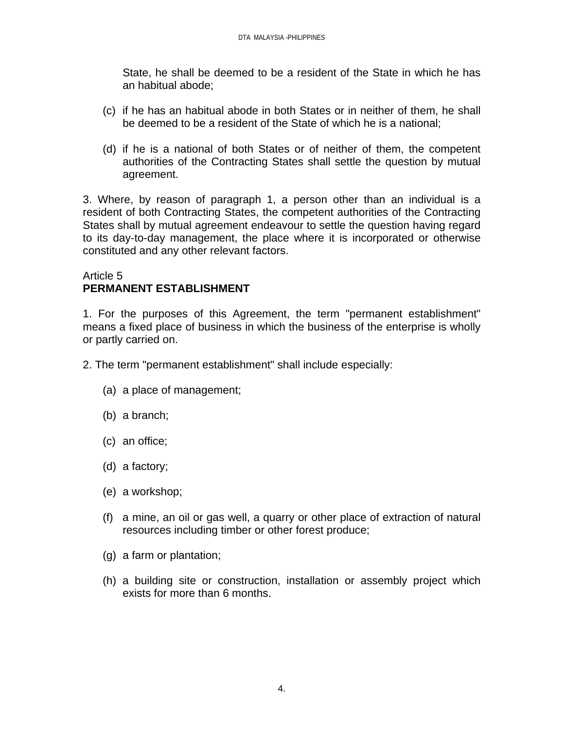State, he shall be deemed to be a resident of the State in which he has an habitual abode;

- (c) if he has an habitual abode in both States or in neither of them, he shall be deemed to be a resident of the State of which he is a national;
- (d) if he is a national of both States or of neither of them, the competent authorities of the Contracting States shall settle the question by mutual agreement.

3. Where, by reason of paragraph 1, a person other than an individual is a resident of both Contracting States, the competent authorities of the Contracting States shall by mutual agreement endeavour to settle the question having regard to its day-to-day management, the place where it is incorporated or otherwise constituted and any other relevant factors.

### Article 5 **PERMANENT ESTABLISHMENT**

1. For the purposes of this Agreement, the term "permanent establishment" means a fixed place of business in which the business of the enterprise is wholly or partly carried on.

- 2. The term "permanent establishment" shall include especially:
	- (a) a place of management;
	- (b) a branch;
	- (c) an office;
	- (d) a factory;
	- (e) a workshop;
	- (f) a mine, an oil or gas well, a quarry or other place of extraction of natural resources including timber or other forest produce;
	- (g) a farm or plantation;
	- (h) a building site or construction, installation or assembly project which exists for more than 6 months.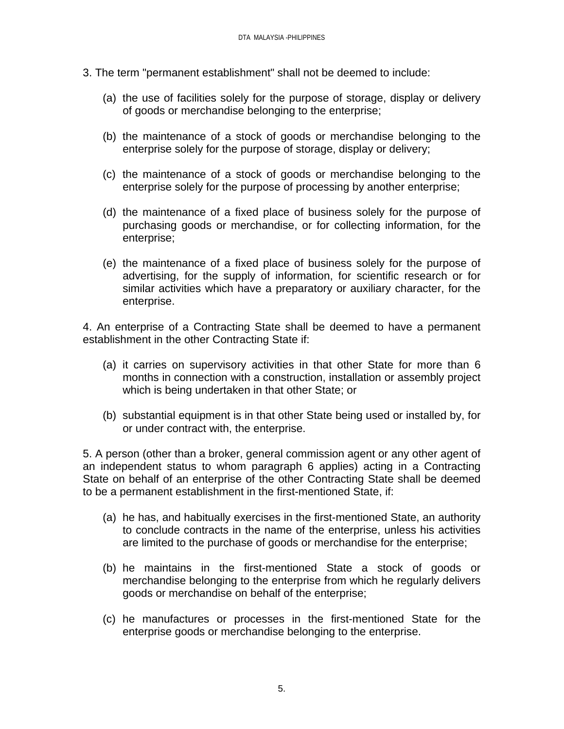- 3. The term "permanent establishment" shall not be deemed to include:
	- (a) the use of facilities solely for the purpose of storage, display or delivery of goods or merchandise belonging to the enterprise;
	- (b) the maintenance of a stock of goods or merchandise belonging to the enterprise solely for the purpose of storage, display or delivery;
	- (c) the maintenance of a stock of goods or merchandise belonging to the enterprise solely for the purpose of processing by another enterprise;
	- (d) the maintenance of a fixed place of business solely for the purpose of purchasing goods or merchandise, or for collecting information, for the enterprise;
	- (e) the maintenance of a fixed place of business solely for the purpose of advertising, for the supply of information, for scientific research or for similar activities which have a preparatory or auxiliary character, for the enterprise.

4. An enterprise of a Contracting State shall be deemed to have a permanent establishment in the other Contracting State if:

- (a) it carries on supervisory activities in that other State for more than 6 months in connection with a construction, installation or assembly project which is being undertaken in that other State; or
- (b) substantial equipment is in that other State being used or installed by, for or under contract with, the enterprise.

5. A person (other than a broker, general commission agent or any other agent of an independent status to whom paragraph 6 applies) acting in a Contracting State on behalf of an enterprise of the other Contracting State shall be deemed to be a permanent establishment in the first-mentioned State, if:

- (a) he has, and habitually exercises in the first-mentioned State, an authority to conclude contracts in the name of the enterprise, unless his activities are limited to the purchase of goods or merchandise for the enterprise;
- (b) he maintains in the first-mentioned State a stock of goods or merchandise belonging to the enterprise from which he regularly delivers goods or merchandise on behalf of the enterprise;
- (c) he manufactures or processes in the first-mentioned State for the enterprise goods or merchandise belonging to the enterprise.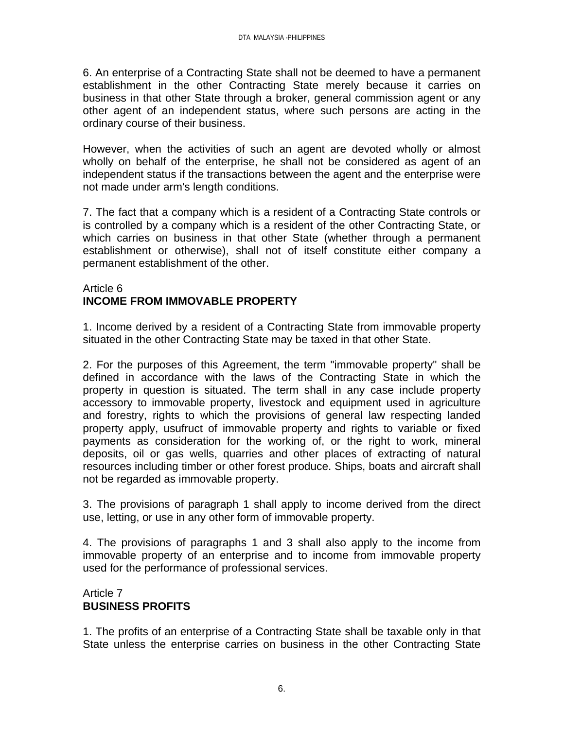6. An enterprise of a Contracting State shall not be deemed to have a permanent establishment in the other Contracting State merely because it carries on business in that other State through a broker, general commission agent or any other agent of an independent status, where such persons are acting in the ordinary course of their business.

However, when the activities of such an agent are devoted wholly or almost wholly on behalf of the enterprise, he shall not be considered as agent of an independent status if the transactions between the agent and the enterprise were not made under arm's length conditions.

7. The fact that a company which is a resident of a Contracting State controls or is controlled by a company which is a resident of the other Contracting State, or which carries on business in that other State (whether through a permanent establishment or otherwise), shall not of itself constitute either company a permanent establishment of the other.

### Article 6 **INCOME FROM IMMOVABLE PROPERTY**

1. Income derived by a resident of a Contracting State from immovable property situated in the other Contracting State may be taxed in that other State.

2. For the purposes of this Agreement, the term "immovable property" shall be defined in accordance with the laws of the Contracting State in which the property in question is situated. The term shall in any case include property accessory to immovable property, livestock and equipment used in agriculture and forestry, rights to which the provisions of general law respecting landed property apply, usufruct of immovable property and rights to variable or fixed payments as consideration for the working of, or the right to work, mineral deposits, oil or gas wells, quarries and other places of extracting of natural resources including timber or other forest produce. Ships, boats and aircraft shall not be regarded as immovable property.

3. The provisions of paragraph 1 shall apply to income derived from the direct use, letting, or use in any other form of immovable property.

4. The provisions of paragraphs 1 and 3 shall also apply to the income from immovable property of an enterprise and to income from immovable property used for the performance of professional services.

# Article 7 **BUSINESS PROFITS**

1. The profits of an enterprise of a Contracting State shall be taxable only in that State unless the enterprise carries on business in the other Contracting State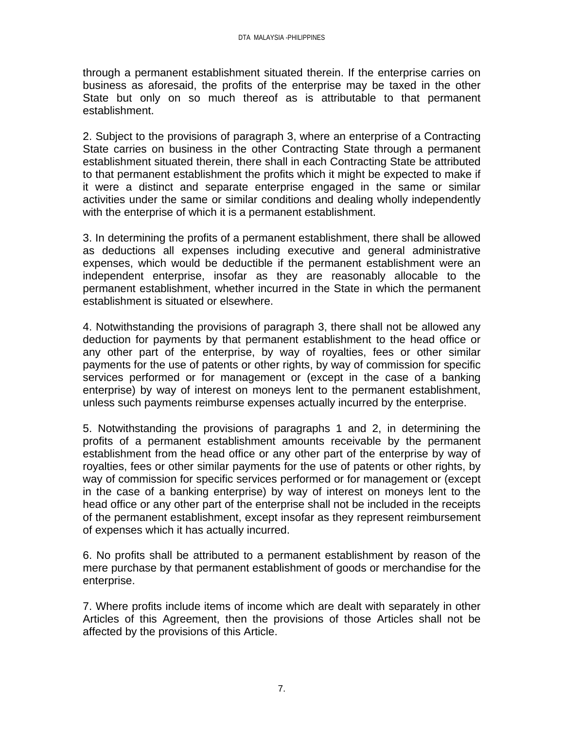through a permanent establishment situated therein. If the enterprise carries on business as aforesaid, the profits of the enterprise may be taxed in the other State but only on so much thereof as is attributable to that permanent establishment.

2. Subject to the provisions of paragraph 3, where an enterprise of a Contracting State carries on business in the other Contracting State through a permanent establishment situated therein, there shall in each Contracting State be attributed to that permanent establishment the profits which it might be expected to make if it were a distinct and separate enterprise engaged in the same or similar activities under the same or similar conditions and dealing wholly independently with the enterprise of which it is a permanent establishment.

3. In determining the profits of a permanent establishment, there shall be allowed as deductions all expenses including executive and general administrative expenses, which would be deductible if the permanent establishment were an independent enterprise, insofar as they are reasonably allocable to the permanent establishment, whether incurred in the State in which the permanent establishment is situated or elsewhere.

4. Notwithstanding the provisions of paragraph 3, there shall not be allowed any deduction for payments by that permanent establishment to the head office or any other part of the enterprise, by way of royalties, fees or other similar payments for the use of patents or other rights, by way of commission for specific services performed or for management or (except in the case of a banking enterprise) by way of interest on moneys lent to the permanent establishment, unless such payments reimburse expenses actually incurred by the enterprise.

5. Notwithstanding the provisions of paragraphs 1 and 2, in determining the profits of a permanent establishment amounts receivable by the permanent establishment from the head office or any other part of the enterprise by way of royalties, fees or other similar payments for the use of patents or other rights, by way of commission for specific services performed or for management or (except in the case of a banking enterprise) by way of interest on moneys lent to the head office or any other part of the enterprise shall not be included in the receipts of the permanent establishment, except insofar as they represent reimbursement of expenses which it has actually incurred.

6. No profits shall be attributed to a permanent establishment by reason of the mere purchase by that permanent establishment of goods or merchandise for the enterprise.

7. Where profits include items of income which are dealt with separately in other Articles of this Agreement, then the provisions of those Articles shall not be affected by the provisions of this Article.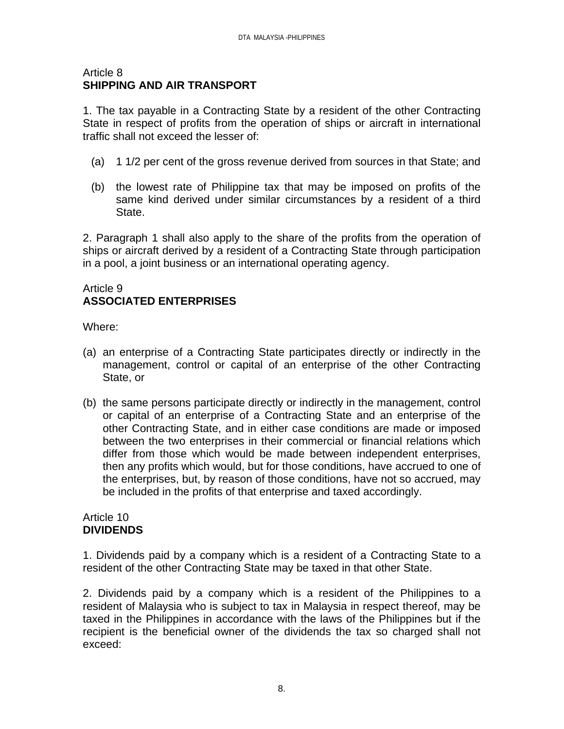#### Article 8 **SHIPPING AND AIR TRANSPORT**

1. The tax payable in a Contracting State by a resident of the other Contracting State in respect of profits from the operation of ships or aircraft in international traffic shall not exceed the lesser of:

- (a) 1 1/2 per cent of the gross revenue derived from sources in that State; and
- (b) the lowest rate of Philippine tax that may be imposed on profits of the same kind derived under similar circumstances by a resident of a third State.

2. Paragraph 1 shall also apply to the share of the profits from the operation of ships or aircraft derived by a resident of a Contracting State through participation in a pool, a joint business or an international operating agency.

### Article 9 **ASSOCIATED ENTERPRISES**

Where:

- (a) an enterprise of a Contracting State participates directly or indirectly in the management, control or capital of an enterprise of the other Contracting State, or
- (b) the same persons participate directly or indirectly in the management, control or capital of an enterprise of a Contracting State and an enterprise of the other Contracting State, and in either case conditions are made or imposed between the two enterprises in their commercial or financial relations which differ from those which would be made between independent enterprises, then any profits which would, but for those conditions, have accrued to one of the enterprises, but, by reason of those conditions, have not so accrued, may be included in the profits of that enterprise and taxed accordingly.

#### Article 10 **DIVIDENDS**

1. Dividends paid by a company which is a resident of a Contracting State to a resident of the other Contracting State may be taxed in that other State.

2. Dividends paid by a company which is a resident of the Philippines to a resident of Malaysia who is subject to tax in Malaysia in respect thereof, may be taxed in the Philippines in accordance with the laws of the Philippines but if the recipient is the beneficial owner of the dividends the tax so charged shall not exceed: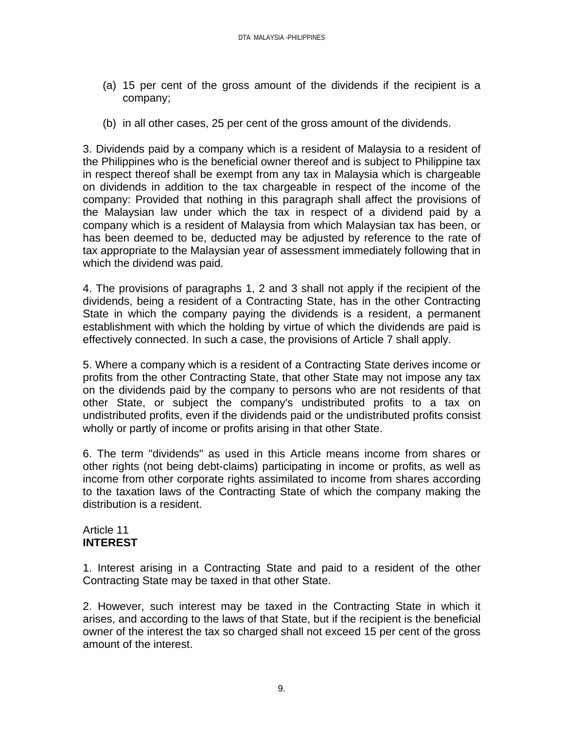- (a) 15 per cent of the gross amount of the dividends if the recipient is a company;
- (b) in all other cases, 25 per cent of the gross amount of the dividends.

3. Dividends paid by a company which is a resident of Malaysia to a resident of the Philippines who is the beneficial owner thereof and is subject to Philippine tax in respect thereof shall be exempt from any tax in Malaysia which is chargeable on dividends in addition to the tax chargeable in respect of the income of the company: Provided that nothing in this paragraph shall affect the provisions of the Malaysian law under which the tax in respect of a dividend paid by a company which is a resident of Malaysia from which Malaysian tax has been, or has been deemed to be, deducted may be adjusted by reference to the rate of tax appropriate to the Malaysian year of assessment immediately following that in which the dividend was paid.

4. The provisions of paragraphs 1, 2 and 3 shall not apply if the recipient of the dividends, being a resident of a Contracting State, has in the other Contracting State in which the company paying the dividends is a resident, a permanent establishment with which the holding by virtue of which the dividends are paid is effectively connected. In such a case, the provisions of Article 7 shall apply.

5. Where a company which is a resident of a Contracting State derives income or profits from the other Contracting State, that other State may not impose any tax on the dividends paid by the company to persons who are not residents of that other State, or subject the company's undistributed profits to a tax on undistributed profits, even if the dividends paid or the undistributed profits consist wholly or partly of income or profits arising in that other State.

6. The term "dividends" as used in this Article means income from shares or other rights (not being debt-claims) participating in income or profits, as well as income from other corporate rights assimilated to income from shares according to the taxation laws of the Contracting State of which the company making the distribution is a resident.

#### Article 11 **INTEREST**

1. Interest arising in a Contracting State and paid to a resident of the other Contracting State may be taxed in that other State.

2. However, such interest may be taxed in the Contracting State in which it arises, and according to the laws of that State, but if the recipient is the beneficial owner of the interest the tax so charged shall not exceed 15 per cent of the gross amount of the interest.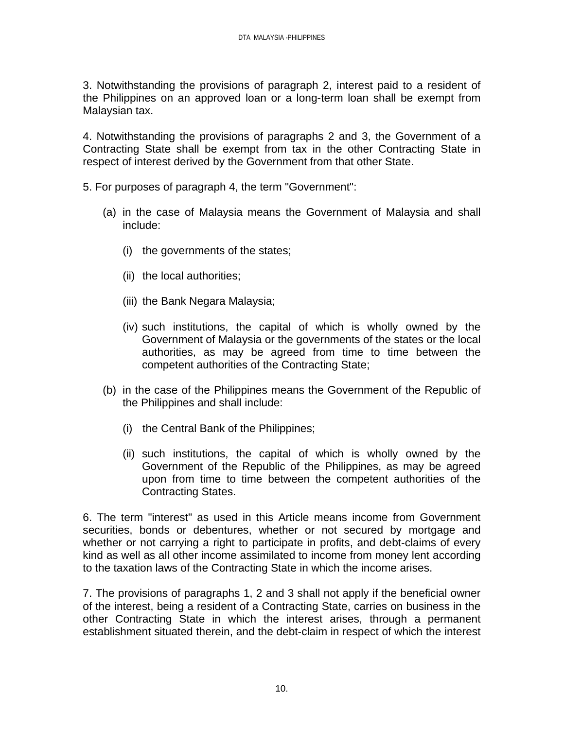3. Notwithstanding the provisions of paragraph 2, interest paid to a resident of the Philippines on an approved loan or a long-term loan shall be exempt from Malaysian tax.

4. Notwithstanding the provisions of paragraphs 2 and 3, the Government of a Contracting State shall be exempt from tax in the other Contracting State in respect of interest derived by the Government from that other State.

- 5. For purposes of paragraph 4, the term "Government":
	- (a) in the case of Malaysia means the Government of Malaysia and shall include:
		- (i) the governments of the states;
		- (ii) the local authorities;
		- (iii) the Bank Negara Malaysia;
		- (iv) such institutions, the capital of which is wholly owned by the Government of Malaysia or the governments of the states or the local authorities, as may be agreed from time to time between the competent authorities of the Contracting State;
	- (b) in the case of the Philippines means the Government of the Republic of the Philippines and shall include:
		- (i) the Central Bank of the Philippines;
		- (ii) such institutions, the capital of which is wholly owned by the Government of the Republic of the Philippines, as may be agreed upon from time to time between the competent authorities of the Contracting States.

6. The term "interest" as used in this Article means income from Government securities, bonds or debentures, whether or not secured by mortgage and whether or not carrying a right to participate in profits, and debt-claims of every kind as well as all other income assimilated to income from money lent according to the taxation laws of the Contracting State in which the income arises.

7. The provisions of paragraphs 1, 2 and 3 shall not apply if the beneficial owner of the interest, being a resident of a Contracting State, carries on business in the other Contracting State in which the interest arises, through a permanent establishment situated therein, and the debt-claim in respect of which the interest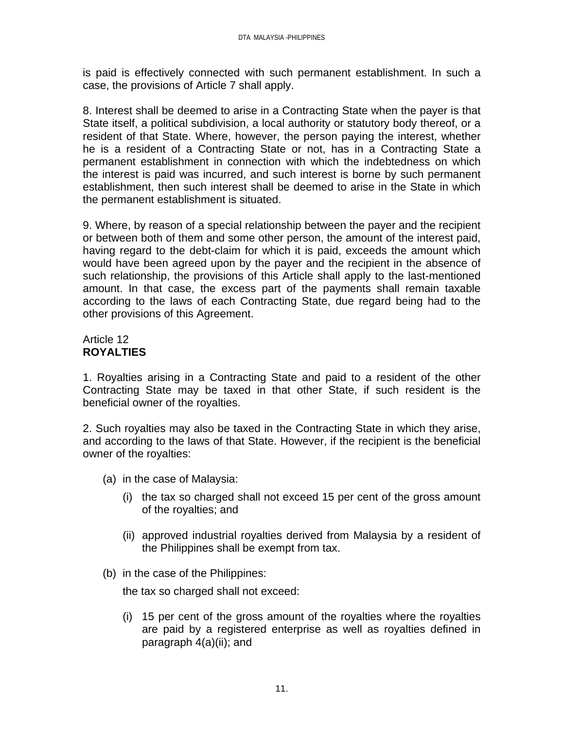is paid is effectively connected with such permanent establishment. In such a case, the provisions of Article 7 shall apply.

8. Interest shall be deemed to arise in a Contracting State when the payer is that State itself, a political subdivision, a local authority or statutory body thereof, or a resident of that State. Where, however, the person paying the interest, whether he is a resident of a Contracting State or not, has in a Contracting State a permanent establishment in connection with which the indebtedness on which the interest is paid was incurred, and such interest is borne by such permanent establishment, then such interest shall be deemed to arise in the State in which the permanent establishment is situated.

9. Where, by reason of a special relationship between the payer and the recipient or between both of them and some other person, the amount of the interest paid, having regard to the debt-claim for which it is paid, exceeds the amount which would have been agreed upon by the payer and the recipient in the absence of such relationship, the provisions of this Article shall apply to the last-mentioned amount. In that case, the excess part of the payments shall remain taxable according to the laws of each Contracting State, due regard being had to the other provisions of this Agreement.

# Article 12 **ROYALTIES**

1. Royalties arising in a Contracting State and paid to a resident of the other Contracting State may be taxed in that other State, if such resident is the beneficial owner of the royalties.

2. Such royalties may also be taxed in the Contracting State in which they arise, and according to the laws of that State. However, if the recipient is the beneficial owner of the royalties:

- (a) in the case of Malaysia:
	- (i) the tax so charged shall not exceed 15 per cent of the gross amount of the royalties; and
	- (ii) approved industrial royalties derived from Malaysia by a resident of the Philippines shall be exempt from tax.
- (b) in the case of the Philippines:

the tax so charged shall not exceed:

(i) 15 per cent of the gross amount of the royalties where the royalties are paid by a registered enterprise as well as royalties defined in paragraph 4(a)(ii); and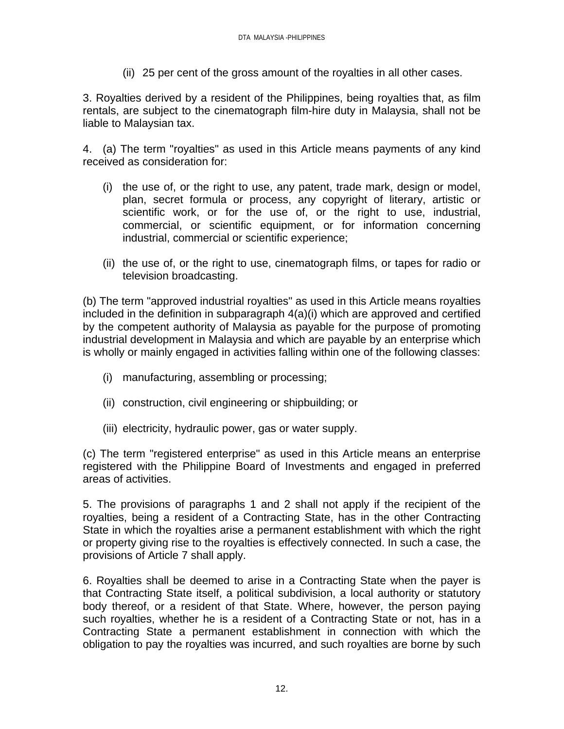(ii) 25 per cent of the gross amount of the royalties in all other cases.

3. Royalties derived by a resident of the Philippines, being royalties that, as film rentals, are subject to the cinematograph film-hire duty in Malaysia, shall not be liable to Malaysian tax.

4. (a) The term "royalties" as used in this Article means payments of any kind received as consideration for:

- (i) the use of, or the right to use, any patent, trade mark, design or model, plan, secret formula or process, any copyright of literary, artistic or scientific work, or for the use of, or the right to use, industrial, commercial, or scientific equipment, or for information concerning industrial, commercial or scientific experience;
- (ii) the use of, or the right to use, cinematograph films, or tapes for radio or television broadcasting.

(b) The term "approved industrial royalties" as used in this Article means royalties included in the definition in subparagraph 4(a)(i) which are approved and certified by the competent authority of Malaysia as payable for the purpose of promoting industrial development in Malaysia and which are payable by an enterprise which is wholly or mainly engaged in activities falling within one of the following classes:

- (i) manufacturing, assembling or processing;
- (ii) construction, civil engineering or shipbuilding; or
- (iii) electricity, hydraulic power, gas or water supply.

(c) The term "registered enterprise" as used in this Article means an enterprise registered with the Philippine Board of Investments and engaged in preferred areas of activities.

5. The provisions of paragraphs 1 and 2 shall not apply if the recipient of the royalties, being a resident of a Contracting State, has in the other Contracting State in which the royalties arise a permanent establishment with which the right or property giving rise to the royalties is effectively connected. In such a case, the provisions of Article 7 shall apply.

6. Royalties shall be deemed to arise in a Contracting State when the payer is that Contracting State itself, a political subdivision, a local authority or statutory body thereof, or a resident of that State. Where, however, the person paying such royalties, whether he is a resident of a Contracting State or not, has in a Contracting State a permanent establishment in connection with which the obligation to pay the royalties was incurred, and such royalties are borne by such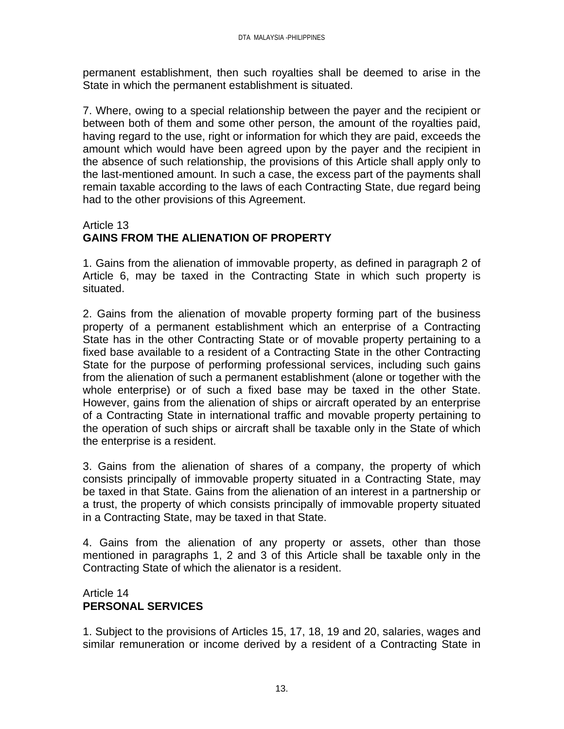permanent establishment, then such royalties shall be deemed to arise in the State in which the permanent establishment is situated.

7. Where, owing to a special relationship between the payer and the recipient or between both of them and some other person, the amount of the royalties paid, having regard to the use, right or information for which they are paid, exceeds the amount which would have been agreed upon by the payer and the recipient in the absence of such relationship, the provisions of this Article shall apply only to the last-mentioned amount. In such a case, the excess part of the payments shall remain taxable according to the laws of each Contracting State, due regard being had to the other provisions of this Agreement.

#### Article 13 **GAINS FROM THE ALIENATION OF PROPERTY**

1. Gains from the alienation of immovable property, as defined in paragraph 2 of Article 6, may be taxed in the Contracting State in which such property is situated.

2. Gains from the alienation of movable property forming part of the business property of a permanent establishment which an enterprise of a Contracting State has in the other Contracting State or of movable property pertaining to a fixed base available to a resident of a Contracting State in the other Contracting State for the purpose of performing professional services, including such gains from the alienation of such a permanent establishment (alone or together with the whole enterprise) or of such a fixed base may be taxed in the other State. However, gains from the alienation of ships or aircraft operated by an enterprise of a Contracting State in international traffic and movable property pertaining to the operation of such ships or aircraft shall be taxable only in the State of which the enterprise is a resident.

3. Gains from the alienation of shares of a company, the property of which consists principally of immovable property situated in a Contracting State, may be taxed in that State. Gains from the alienation of an interest in a partnership or a trust, the property of which consists principally of immovable property situated in a Contracting State, may be taxed in that State.

4. Gains from the alienation of any property or assets, other than those mentioned in paragraphs 1, 2 and 3 of this Article shall be taxable only in the Contracting State of which the alienator is a resident.

### Article 14 **PERSONAL SERVICES**

1. Subject to the provisions of Articles 15, 17, 18, 19 and 20, salaries, wages and similar remuneration or income derived by a resident of a Contracting State in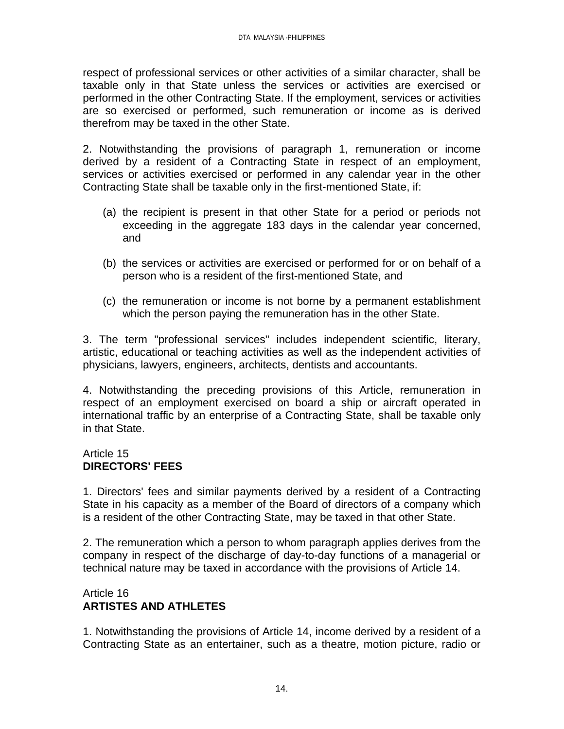respect of professional services or other activities of a similar character, shall be taxable only in that State unless the services or activities are exercised or performed in the other Contracting State. If the employment, services or activities are so exercised or performed, such remuneration or income as is derived therefrom may be taxed in the other State.

2. Notwithstanding the provisions of paragraph 1, remuneration or income derived by a resident of a Contracting State in respect of an employment, services or activities exercised or performed in any calendar year in the other Contracting State shall be taxable only in the first-mentioned State, if:

- (a) the recipient is present in that other State for a period or periods not exceeding in the aggregate 183 days in the calendar year concerned, and
- (b) the services or activities are exercised or performed for or on behalf of a person who is a resident of the first-mentioned State, and
- (c) the remuneration or income is not borne by a permanent establishment which the person paying the remuneration has in the other State.

3. The term "professional services" includes independent scientific, literary, artistic, educational or teaching activities as well as the independent activities of physicians, lawyers, engineers, architects, dentists and accountants.

4. Notwithstanding the preceding provisions of this Article, remuneration in respect of an employment exercised on board a ship or aircraft operated in international traffic by an enterprise of a Contracting State, shall be taxable only in that State.

### Article 15 **DIRECTORS' FEES**

1. Directors' fees and similar payments derived by a resident of a Contracting State in his capacity as a member of the Board of directors of a company which is a resident of the other Contracting State, may be taxed in that other State.

2. The remuneration which a person to whom paragraph applies derives from the company in respect of the discharge of day-to-day functions of a managerial or technical nature may be taxed in accordance with the provisions of Article 14.

### Article 16 **ARTISTES AND ATHLETES**

1. Notwithstanding the provisions of Article 14, income derived by a resident of a Contracting State as an entertainer, such as a theatre, motion picture, radio or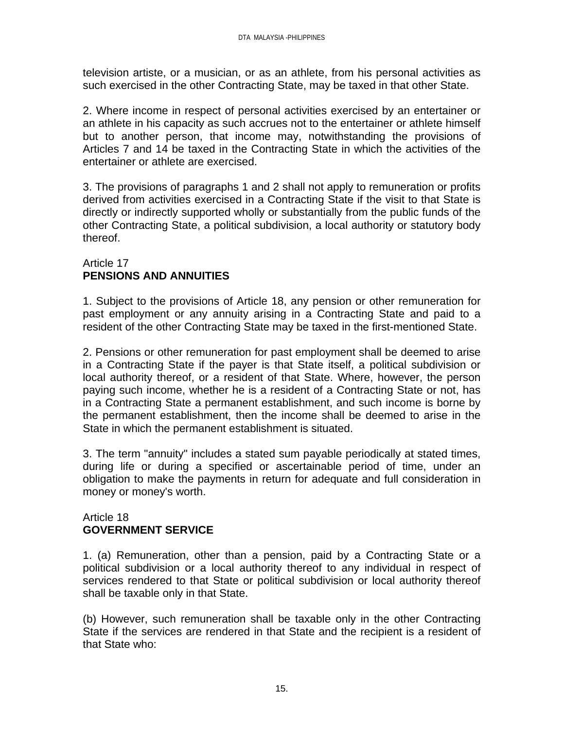television artiste, or a musician, or as an athlete, from his personal activities as such exercised in the other Contracting State, may be taxed in that other State.

2. Where income in respect of personal activities exercised by an entertainer or an athlete in his capacity as such accrues not to the entertainer or athlete himself but to another person, that income may, notwithstanding the provisions of Articles 7 and 14 be taxed in the Contracting State in which the activities of the entertainer or athlete are exercised.

3. The provisions of paragraphs 1 and 2 shall not apply to remuneration or profits derived from activities exercised in a Contracting State if the visit to that State is directly or indirectly supported wholly or substantially from the public funds of the other Contracting State, a political subdivision, a local authority or statutory body thereof.

### Article 17 **PENSIONS AND ANNUITIES**

1. Subject to the provisions of Article 18, any pension or other remuneration for past employment or any annuity arising in a Contracting State and paid to a resident of the other Contracting State may be taxed in the first-mentioned State.

2. Pensions or other remuneration for past employment shall be deemed to arise in a Contracting State if the payer is that State itself, a political subdivision or local authority thereof, or a resident of that State. Where, however, the person paying such income, whether he is a resident of a Contracting State or not, has in a Contracting State a permanent establishment, and such income is borne by the permanent establishment, then the income shall be deemed to arise in the State in which the permanent establishment is situated.

3. The term "annuity" includes a stated sum payable periodically at stated times, during life or during a specified or ascertainable period of time, under an obligation to make the payments in return for adequate and full consideration in money or money's worth.

#### Article 18 **GOVERNMENT SERVICE**

1. (a) Remuneration, other than a pension, paid by a Contracting State or a political subdivision or a local authority thereof to any individual in respect of services rendered to that State or political subdivision or local authority thereof shall be taxable only in that State.

(b) However, such remuneration shall be taxable only in the other Contracting State if the services are rendered in that State and the recipient is a resident of that State who: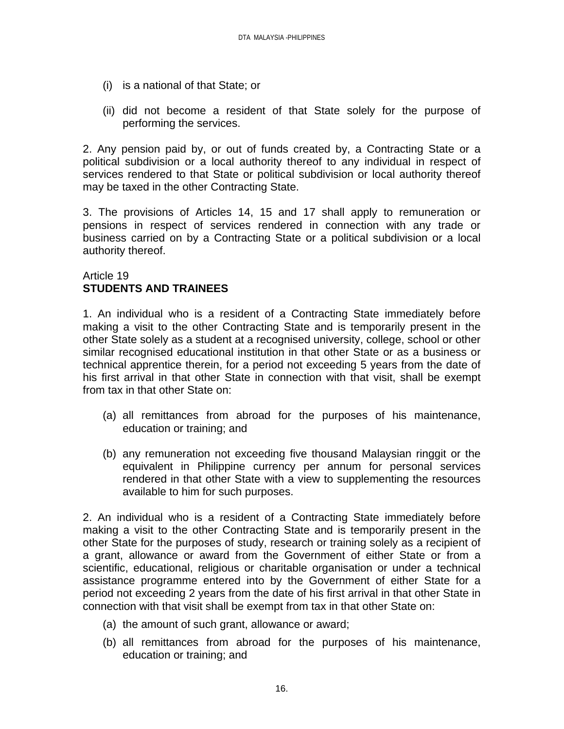- (i) is a national of that State; or
- (ii) did not become a resident of that State solely for the purpose of performing the services.

2. Any pension paid by, or out of funds created by, a Contracting State or a political subdivision or a local authority thereof to any individual in respect of services rendered to that State or political subdivision or local authority thereof may be taxed in the other Contracting State.

3. The provisions of Articles 14, 15 and 17 shall apply to remuneration or pensions in respect of services rendered in connection with any trade or business carried on by a Contracting State or a political subdivision or a local authority thereof.

#### Article 19 **STUDENTS AND TRAINEES**

1. An individual who is a resident of a Contracting State immediately before making a visit to the other Contracting State and is temporarily present in the other State solely as a student at a recognised university, college, school or other similar recognised educational institution in that other State or as a business or technical apprentice therein, for a period not exceeding 5 years from the date of his first arrival in that other State in connection with that visit, shall be exempt from tax in that other State on:

- (a) all remittances from abroad for the purposes of his maintenance, education or training; and
- (b) any remuneration not exceeding five thousand Malaysian ringgit or the equivalent in Philippine currency per annum for personal services rendered in that other State with a view to supplementing the resources available to him for such purposes.

2. An individual who is a resident of a Contracting State immediately before making a visit to the other Contracting State and is temporarily present in the other State for the purposes of study, research or training solely as a recipient of a grant, allowance or award from the Government of either State or from a scientific, educational, religious or charitable organisation or under a technical assistance programme entered into by the Government of either State for a period not exceeding 2 years from the date of his first arrival in that other State in connection with that visit shall be exempt from tax in that other State on:

- (a) the amount of such grant, allowance or award;
- (b) all remittances from abroad for the purposes of his maintenance, education or training; and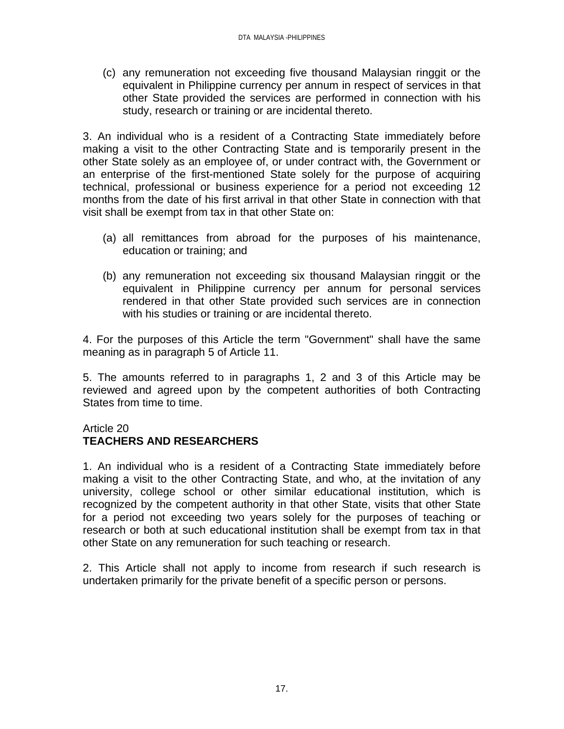(c) any remuneration not exceeding five thousand Malaysian ringgit or the equivalent in Philippine currency per annum in respect of services in that other State provided the services are performed in connection with his study, research or training or are incidental thereto.

3. An individual who is a resident of a Contracting State immediately before making a visit to the other Contracting State and is temporarily present in the other State solely as an employee of, or under contract with, the Government or an enterprise of the first-mentioned State solely for the purpose of acquiring technical, professional or business experience for a period not exceeding 12 months from the date of his first arrival in that other State in connection with that visit shall be exempt from tax in that other State on:

- (a) all remittances from abroad for the purposes of his maintenance, education or training; and
- (b) any remuneration not exceeding six thousand Malaysian ringgit or the equivalent in Philippine currency per annum for personal services rendered in that other State provided such services are in connection with his studies or training or are incidental thereto.

4. For the purposes of this Article the term "Government" shall have the same meaning as in paragraph 5 of Article 11.

5. The amounts referred to in paragraphs 1, 2 and 3 of this Article may be reviewed and agreed upon by the competent authorities of both Contracting States from time to time.

### Article 20

# **TEACHERS AND RESEARCHERS**

1. An individual who is a resident of a Contracting State immediately before making a visit to the other Contracting State, and who, at the invitation of any university, college school or other similar educational institution, which is recognized by the competent authority in that other State, visits that other State for a period not exceeding two years solely for the purposes of teaching or research or both at such educational institution shall be exempt from tax in that other State on any remuneration for such teaching or research.

2. This Article shall not apply to income from research if such research is undertaken primarily for the private benefit of a specific person or persons.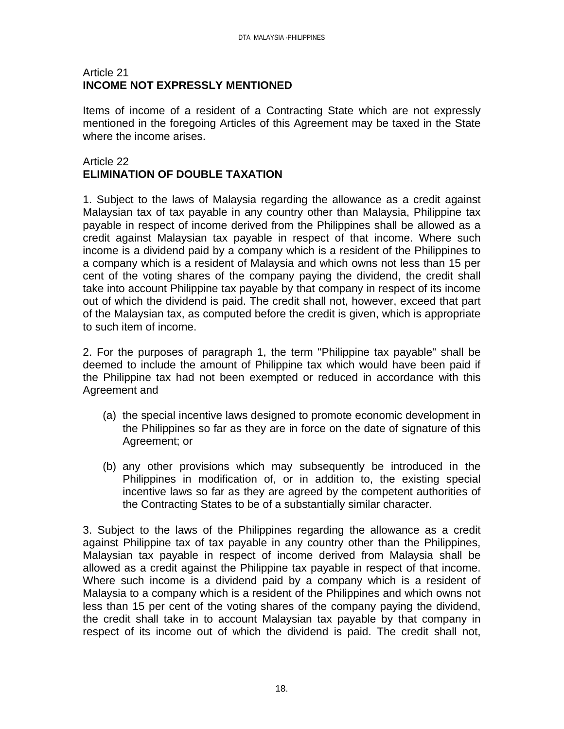### Article 21 **INCOME NOT EXPRESSLY MENTIONED**

Items of income of a resident of a Contracting State which are not expressly mentioned in the foregoing Articles of this Agreement may be taxed in the State where the income arises.

# Article 22 **ELIMINATION OF DOUBLE TAXATION**

1. Subject to the laws of Malaysia regarding the allowance as a credit against Malaysian tax of tax payable in any country other than Malaysia, Philippine tax payable in respect of income derived from the Philippines shall be allowed as a credit against Malaysian tax payable in respect of that income. Where such income is a dividend paid by a company which is a resident of the Philippines to a company which is a resident of Malaysia and which owns not less than 15 per cent of the voting shares of the company paying the dividend, the credit shall take into account Philippine tax payable by that company in respect of its income out of which the dividend is paid. The credit shall not, however, exceed that part of the Malaysian tax, as computed before the credit is given, which is appropriate to such item of income.

2. For the purposes of paragraph 1, the term "Philippine tax payable" shall be deemed to include the amount of Philippine tax which would have been paid if the Philippine tax had not been exempted or reduced in accordance with this Agreement and

- (a) the special incentive laws designed to promote economic development in the Philippines so far as they are in force on the date of signature of this Agreement; or
- (b) any other provisions which may subsequently be introduced in the Philippines in modification of, or in addition to, the existing special incentive laws so far as they are agreed by the competent authorities of the Contracting States to be of a substantially similar character.

3. Subject to the laws of the Philippines regarding the allowance as a credit against Philippine tax of tax payable in any country other than the Philippines, Malaysian tax payable in respect of income derived from Malaysia shall be allowed as a credit against the Philippine tax payable in respect of that income. Where such income is a dividend paid by a company which is a resident of Malaysia to a company which is a resident of the Philippines and which owns not less than 15 per cent of the voting shares of the company paying the dividend, the credit shall take in to account Malaysian tax payable by that company in respect of its income out of which the dividend is paid. The credit shall not,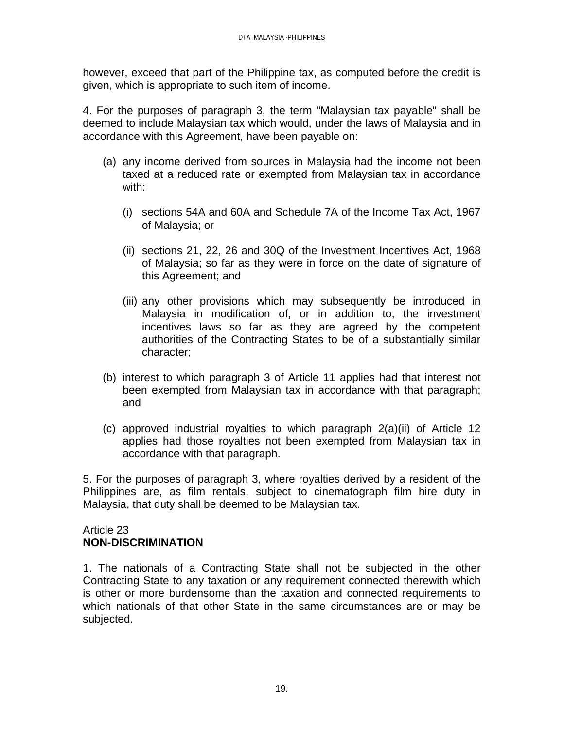however, exceed that part of the Philippine tax, as computed before the credit is given, which is appropriate to such item of income.

4. For the purposes of paragraph 3, the term "Malaysian tax payable" shall be deemed to include Malaysian tax which would, under the laws of Malaysia and in accordance with this Agreement, have been payable on:

- (a) any income derived from sources in Malaysia had the income not been taxed at a reduced rate or exempted from Malaysian tax in accordance with:
	- (i) sections 54A and 60A and Schedule 7A of the Income Tax Act, 1967 of Malaysia; or
	- (ii) sections 21, 22, 26 and 30Q of the Investment Incentives Act, 1968 of Malaysia; so far as they were in force on the date of signature of this Agreement; and
	- (iii) any other provisions which may subsequently be introduced in Malaysia in modification of, or in addition to, the investment incentives laws so far as they are agreed by the competent authorities of the Contracting States to be of a substantially similar character;
- (b) interest to which paragraph 3 of Article 11 applies had that interest not been exempted from Malaysian tax in accordance with that paragraph; and
- (c) approved industrial royalties to which paragraph 2(a)(ii) of Article 12 applies had those royalties not been exempted from Malaysian tax in accordance with that paragraph.

5. For the purposes of paragraph 3, where royalties derived by a resident of the Philippines are, as film rentals, subject to cinematograph film hire duty in Malaysia, that duty shall be deemed to be Malaysian tax.

### Article 23 **NON-DISCRIMINATION**

1. The nationals of a Contracting State shall not be subjected in the other Contracting State to any taxation or any requirement connected therewith which is other or more burdensome than the taxation and connected requirements to which nationals of that other State in the same circumstances are or may be subjected.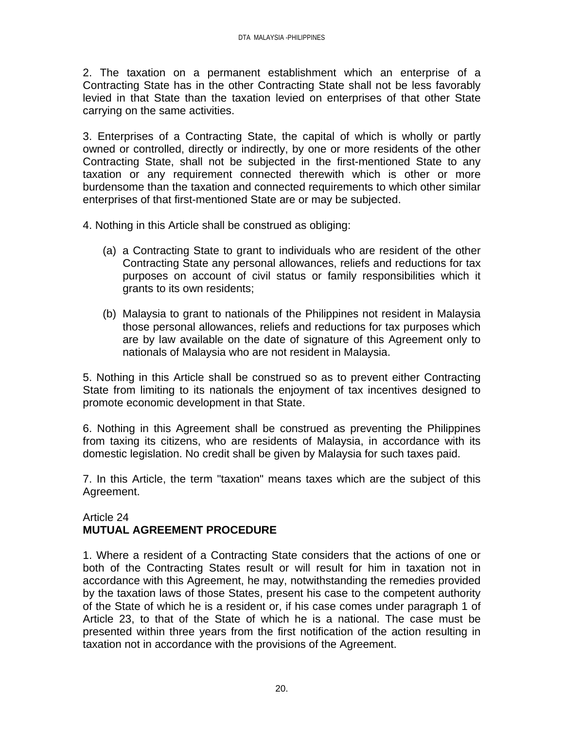2. The taxation on a permanent establishment which an enterprise of a Contracting State has in the other Contracting State shall not be less favorably levied in that State than the taxation levied on enterprises of that other State carrying on the same activities.

3. Enterprises of a Contracting State, the capital of which is wholly or partly owned or controlled, directly or indirectly, by one or more residents of the other Contracting State, shall not be subjected in the first-mentioned State to any taxation or any requirement connected therewith which is other or more burdensome than the taxation and connected requirements to which other similar enterprises of that first-mentioned State are or may be subjected.

4. Nothing in this Article shall be construed as obliging:

- (a) a Contracting State to grant to individuals who are resident of the other Contracting State any personal allowances, reliefs and reductions for tax purposes on account of civil status or family responsibilities which it grants to its own residents;
- (b) Malaysia to grant to nationals of the Philippines not resident in Malaysia those personal allowances, reliefs and reductions for tax purposes which are by law available on the date of signature of this Agreement only to nationals of Malaysia who are not resident in Malaysia.

5. Nothing in this Article shall be construed so as to prevent either Contracting State from limiting to its nationals the enjoyment of tax incentives designed to promote economic development in that State.

6. Nothing in this Agreement shall be construed as preventing the Philippines from taxing its citizens, who are residents of Malaysia, in accordance with its domestic legislation. No credit shall be given by Malaysia for such taxes paid.

7. In this Article, the term "taxation" means taxes which are the subject of this Agreement.

### Article 24 **MUTUAL AGREEMENT PROCEDURE**

1. Where a resident of a Contracting State considers that the actions of one or both of the Contracting States result or will result for him in taxation not in accordance with this Agreement, he may, notwithstanding the remedies provided by the taxation laws of those States, present his case to the competent authority of the State of which he is a resident or, if his case comes under paragraph 1 of Article 23, to that of the State of which he is a national. The case must be presented within three years from the first notification of the action resulting in taxation not in accordance with the provisions of the Agreement.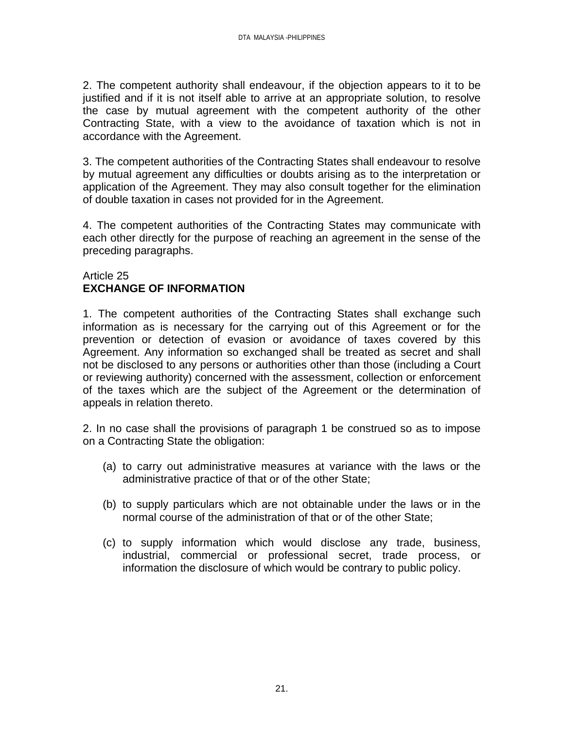2. The competent authority shall endeavour, if the objection appears to it to be justified and if it is not itself able to arrive at an appropriate solution, to resolve the case by mutual agreement with the competent authority of the other Contracting State, with a view to the avoidance of taxation which is not in accordance with the Agreement.

3. The competent authorities of the Contracting States shall endeavour to resolve by mutual agreement any difficulties or doubts arising as to the interpretation or application of the Agreement. They may also consult together for the elimination of double taxation in cases not provided for in the Agreement.

4. The competent authorities of the Contracting States may communicate with each other directly for the purpose of reaching an agreement in the sense of the preceding paragraphs.

### Article 25 **EXCHANGE OF INFORMATION**

1. The competent authorities of the Contracting States shall exchange such information as is necessary for the carrying out of this Agreement or for the prevention or detection of evasion or avoidance of taxes covered by this Agreement. Any information so exchanged shall be treated as secret and shall not be disclosed to any persons or authorities other than those (including a Court or reviewing authority) concerned with the assessment, collection or enforcement of the taxes which are the subject of the Agreement or the determination of appeals in relation thereto.

2. In no case shall the provisions of paragraph 1 be construed so as to impose on a Contracting State the obligation:

- (a) to carry out administrative measures at variance with the laws or the administrative practice of that or of the other State;
- (b) to supply particulars which are not obtainable under the laws or in the normal course of the administration of that or of the other State;
- (c) to supply information which would disclose any trade, business, industrial, commercial or professional secret, trade process, or information the disclosure of which would be contrary to public policy.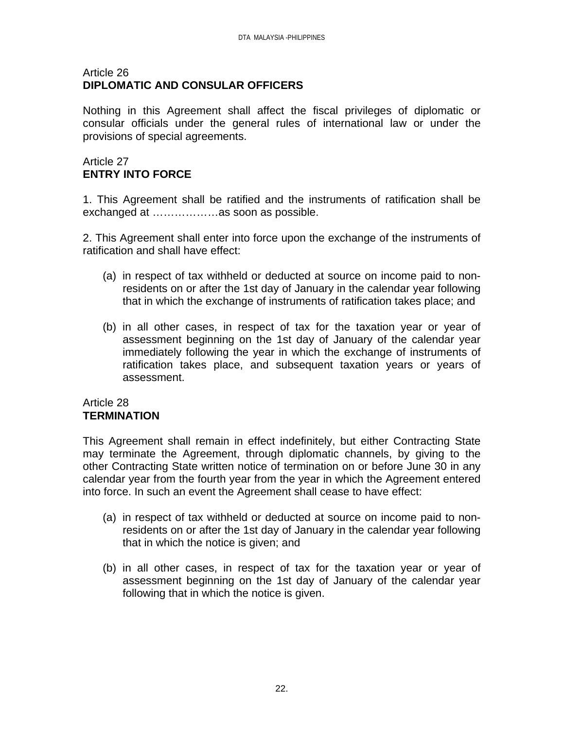#### Article 26 **DIPLOMATIC AND CONSULAR OFFICERS**

Nothing in this Agreement shall affect the fiscal privileges of diplomatic or consular officials under the general rules of international law or under the provisions of special agreements.

# Article 27 **ENTRY INTO FORCE**

1. This Agreement shall be ratified and the instruments of ratification shall be exchanged at ………………as soon as possible.

2. This Agreement shall enter into force upon the exchange of the instruments of ratification and shall have effect:

- (a) in respect of tax withheld or deducted at source on income paid to nonresidents on or after the 1st day of January in the calendar year following that in which the exchange of instruments of ratification takes place; and
- (b) in all other cases, in respect of tax for the taxation year or year of assessment beginning on the 1st day of January of the calendar year immediately following the year in which the exchange of instruments of ratification takes place, and subsequent taxation years or years of assessment.

### Article 28 **TERMINATION**

This Agreement shall remain in effect indefinitely, but either Contracting State may terminate the Agreement, through diplomatic channels, by giving to the other Contracting State written notice of termination on or before June 30 in any calendar year from the fourth year from the year in which the Agreement entered into force. In such an event the Agreement shall cease to have effect:

- (a) in respect of tax withheld or deducted at source on income paid to nonresidents on or after the 1st day of January in the calendar year following that in which the notice is given; and
- (b) in all other cases, in respect of tax for the taxation year or year of assessment beginning on the 1st day of January of the calendar year following that in which the notice is given.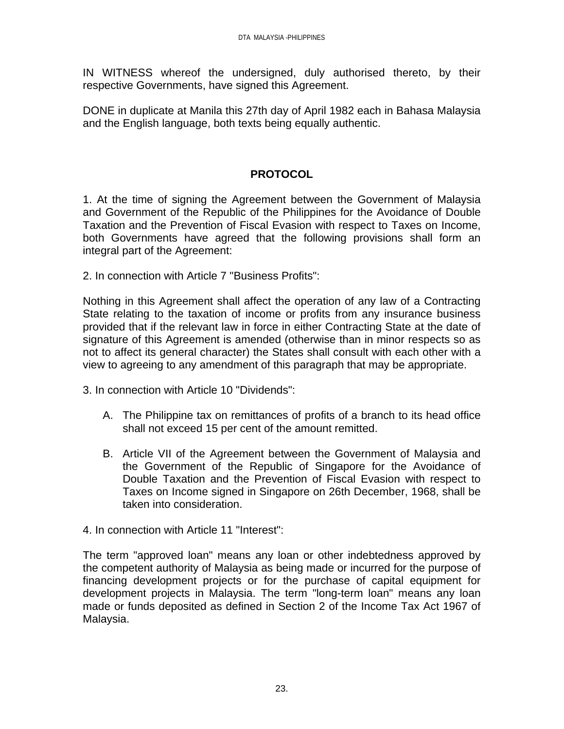IN WITNESS whereof the undersigned, duly authorised thereto, by their respective Governments, have signed this Agreement.

DONE in duplicate at Manila this 27th day of April 1982 each in Bahasa Malaysia and the English language, both texts being equally authentic.

# **PROTOCOL**

1. At the time of signing the Agreement between the Government of Malaysia and Government of the Republic of the Philippines for the Avoidance of Double Taxation and the Prevention of Fiscal Evasion with respect to Taxes on Income, both Governments have agreed that the following provisions shall form an integral part of the Agreement:

2. In connection with Article 7 "Business Profits":

Nothing in this Agreement shall affect the operation of any law of a Contracting State relating to the taxation of income or profits from any insurance business provided that if the relevant law in force in either Contracting State at the date of signature of this Agreement is amended (otherwise than in minor respects so as not to affect its general character) the States shall consult with each other with a view to agreeing to any amendment of this paragraph that may be appropriate.

3. In connection with Article 10 "Dividends":

- A. The Philippine tax on remittances of profits of a branch to its head office shall not exceed 15 per cent of the amount remitted.
- B. Article VII of the Agreement between the Government of Malaysia and the Government of the Republic of Singapore for the Avoidance of Double Taxation and the Prevention of Fiscal Evasion with respect to Taxes on Income signed in Singapore on 26th December, 1968, shall be taken into consideration.
- 4. In connection with Article 11 "Interest":

The term "approved loan" means any loan or other indebtedness approved by the competent authority of Malaysia as being made or incurred for the purpose of financing development projects or for the purchase of capital equipment for development projects in Malaysia. The term "long-term loan" means any loan made or funds deposited as defined in Section 2 of the Income Tax Act 1967 of Malaysia.